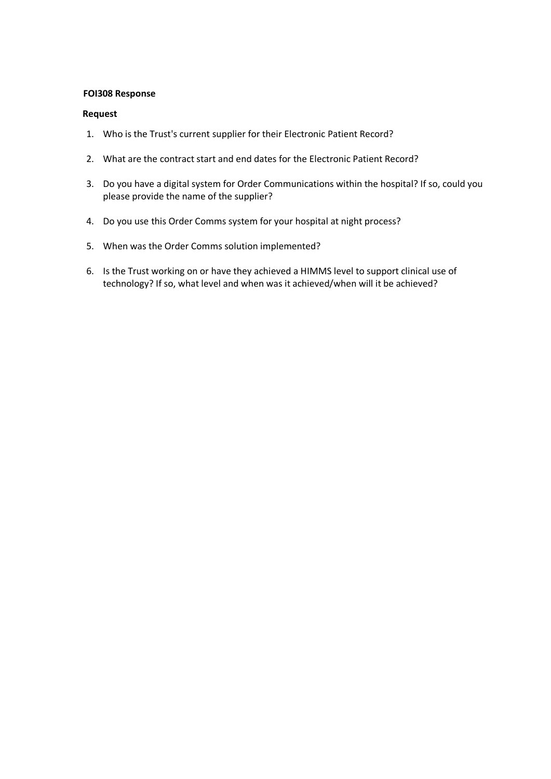## **FOI308 Response**

#### **Request**

- 1. Who is the Trust's current supplier for their Electronic Patient Record?
- 2. What are the contract start and end dates for the Electronic Patient Record?
- 3. Do you have a digital system for Order Communications within the hospital? If so, could you please provide the name of the supplier?
- 4. Do you use this Order Comms system for your hospital at night process?
- 5. When was the Order Comms solution implemented?
- 6. Is the Trust working on or have they achieved a HIMMS level to support clinical use of technology? If so, what level and when was it achieved/when will it be achieved?